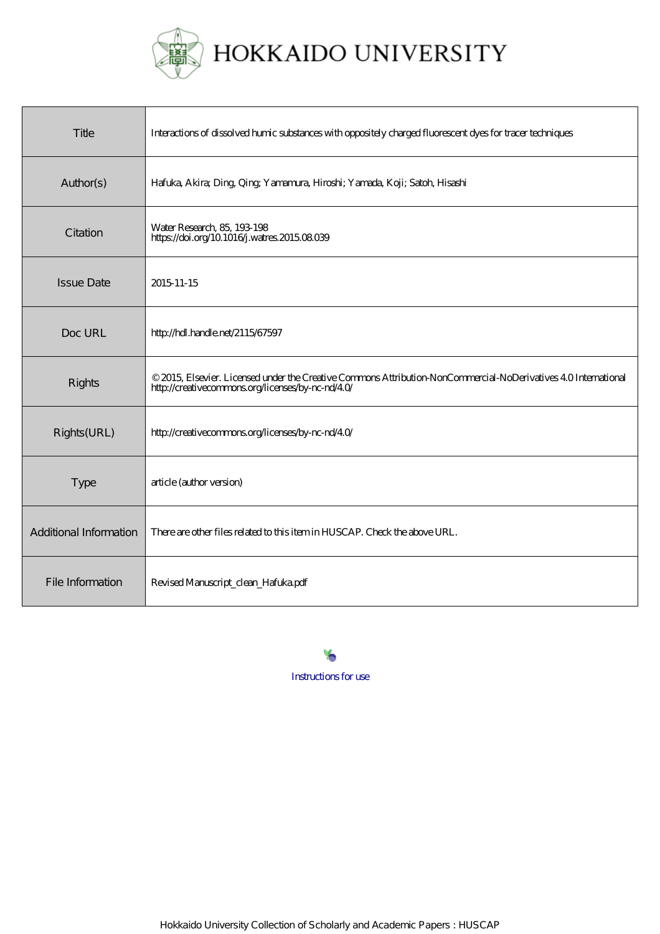

| Title                  | Interactions of dissolved hunic substances with oppositely charged fluorescent dyes for tracer techniques                                                          |
|------------------------|--------------------------------------------------------------------------------------------------------------------------------------------------------------------|
| Author(s)              | Hafuka, Akira; Ding, Qing; Yamamura, Hiroshi; Yamada, Koji; Satoh, Hisashi                                                                                         |
| Citation               | Water Research, 85, 193-198<br>https://doi.org/10.1016/j.watres.2015.08.039                                                                                        |
| <b>Issue Date</b>      | 2015 11 - 15                                                                                                                                                       |
| Doc URL                | http://hdl.handle.net/2115/67597                                                                                                                                   |
| Rights                 | © 2015, Elsevier. Licensed under the Creative Commons Attribution NonCommercial-NoDerivatives 40 International<br>http://creativecommons.org/licenses/by-nc-nd/40/ |
| Rights(URL)            | http://creativecommons.org/licenses/by-nc-nd/40/                                                                                                                   |
| <b>Type</b>            | article (author version)                                                                                                                                           |
| Additional Information | There are other files related to this item in HUSCAP. Check the above URL.                                                                                         |
| File Information       | Revised Manuscript_clean_Hafuka.pdf                                                                                                                                |

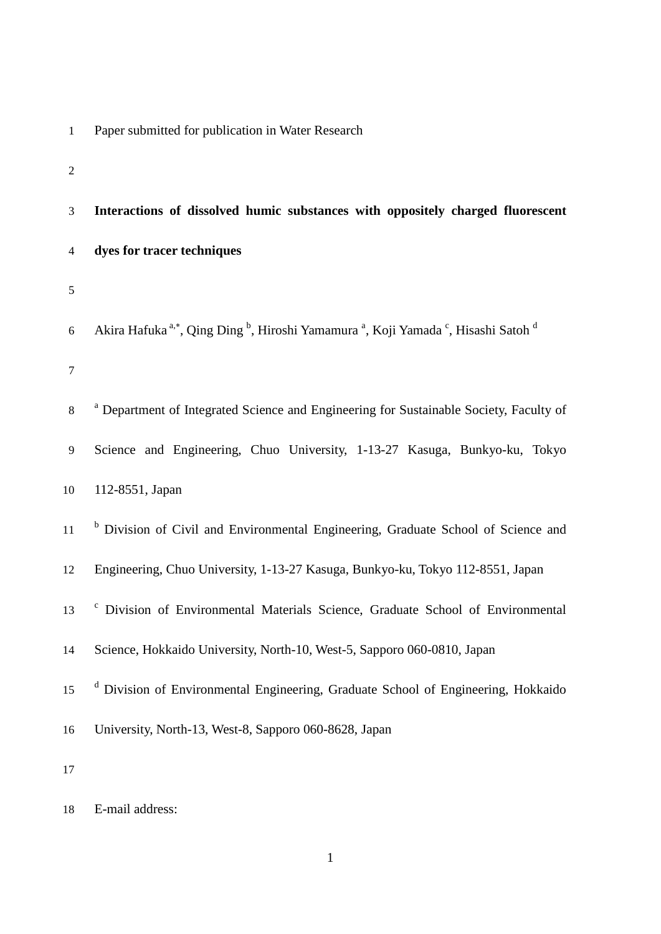|  |  |  |  |  |  | Paper submitted for publication in Water Research |
|--|--|--|--|--|--|---------------------------------------------------|
|--|--|--|--|--|--|---------------------------------------------------|

| ۰ |
|---|
| I |
|   |
|   |

| 3              | Interactions of dissolved humic substances with oppositely charged fluorescent                                                               |
|----------------|----------------------------------------------------------------------------------------------------------------------------------------------|
| $\overline{4}$ | dyes for tracer techniques                                                                                                                   |
| 5              |                                                                                                                                              |
| 6              | Akira Hafuka <sup>a,*</sup> , Qing Ding <sup>b</sup> , Hiroshi Yamamura <sup>a</sup> , Koji Yamada <sup>c</sup> , Hisashi Satoh <sup>d</sup> |
| $\tau$         |                                                                                                                                              |
| 8              | <sup>a</sup> Department of Integrated Science and Engineering for Sustainable Society, Faculty of                                            |
| 9              | Science and Engineering, Chuo University, 1-13-27 Kasuga, Bunkyo-ku, Tokyo                                                                   |
| 10             | 112-8551, Japan                                                                                                                              |
| 11             | <sup>b</sup> Division of Civil and Environmental Engineering, Graduate School of Science and                                                 |
| 12             | Engineering, Chuo University, 1-13-27 Kasuga, Bunkyo-ku, Tokyo 112-8551, Japan                                                               |
| 13             | Division of Environmental Materials Science, Graduate School of Environmental                                                                |
| 14             | Science, Hokkaido University, North-10, West-5, Sapporo 060-0810, Japan                                                                      |
| 15             | <sup>d</sup> Division of Environmental Engineering, Graduate School of Engineering, Hokkaido                                                 |
| 16             | University, North-13, West-8, Sapporo 060-8628, Japan                                                                                        |
| 17             |                                                                                                                                              |

E-mail address: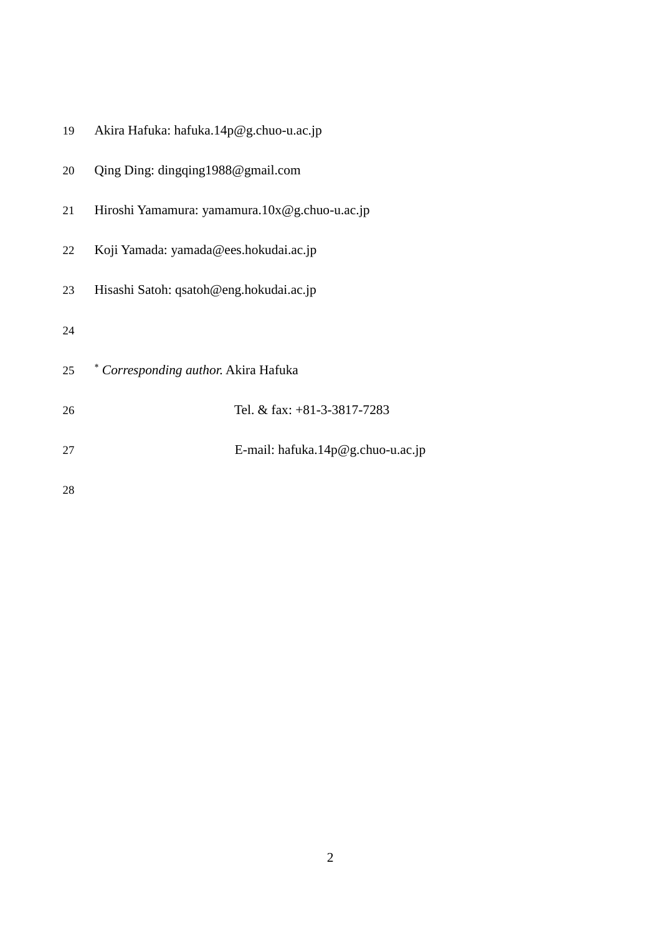| 19 | Akira Hafuka: hafuka.14p@g.chuo-u.ac.jp       |
|----|-----------------------------------------------|
| 20 | Qing Ding: dingqing1988@gmail.com             |
| 21 | Hiroshi Yamamura: yamamura.10x@g.chuo-u.ac.jp |
| 22 | Koji Yamada: yamada@ees.hokudai.ac.jp         |
| 23 | Hisashi Satoh: qsatoh@eng.hokudai.ac.jp       |
| 24 |                                               |
| 25 | * Corresponding author. Akira Hafuka          |
| 26 | Tel. & fax: +81-3-3817-7283                   |
| 27 | E-mail: hafuka. $14p@g$ .chuo-u.ac.jp         |
| 28 |                                               |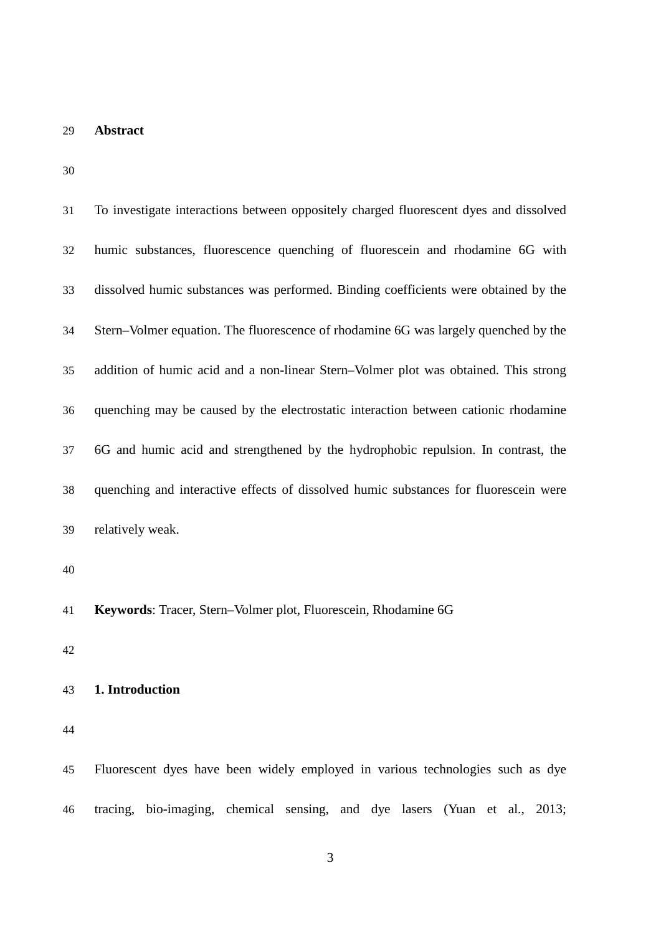# **Abstract**

| 31 | To investigate interactions between oppositely charged fluorescent dyes and dissolved |
|----|---------------------------------------------------------------------------------------|
| 32 | humic substances, fluorescence quenching of fluorescein and rhodamine 6G with         |
| 33 | dissolved humic substances was performed. Binding coefficients were obtained by the   |
| 34 | Stern-Volmer equation. The fluorescence of rhodamine 6G was largely quenched by the   |
| 35 | addition of humic acid and a non-linear Stern-Volmer plot was obtained. This strong   |
| 36 | quenching may be caused by the electrostatic interaction between cationic rhodamine   |
| 37 | 6G and humic acid and strengthened by the hydrophobic repulsion. In contrast, the     |
| 38 | quenching and interactive effects of dissolved humic substances for fluorescein were  |
| 39 | relatively weak.                                                                      |
| 40 |                                                                                       |
| 41 | Keywords: Tracer, Stern-Volmer plot, Fluorescein, Rhodamine 6G                        |
| 42 |                                                                                       |
| 43 | 1. Introduction                                                                       |
| 44 |                                                                                       |
| 45 | Fluorescent dyes have been widely employed in various technologies such as dye        |
| 46 | tracing, bio-imaging, chemical sensing, and dye lasers (Yuan et al., 2013;            |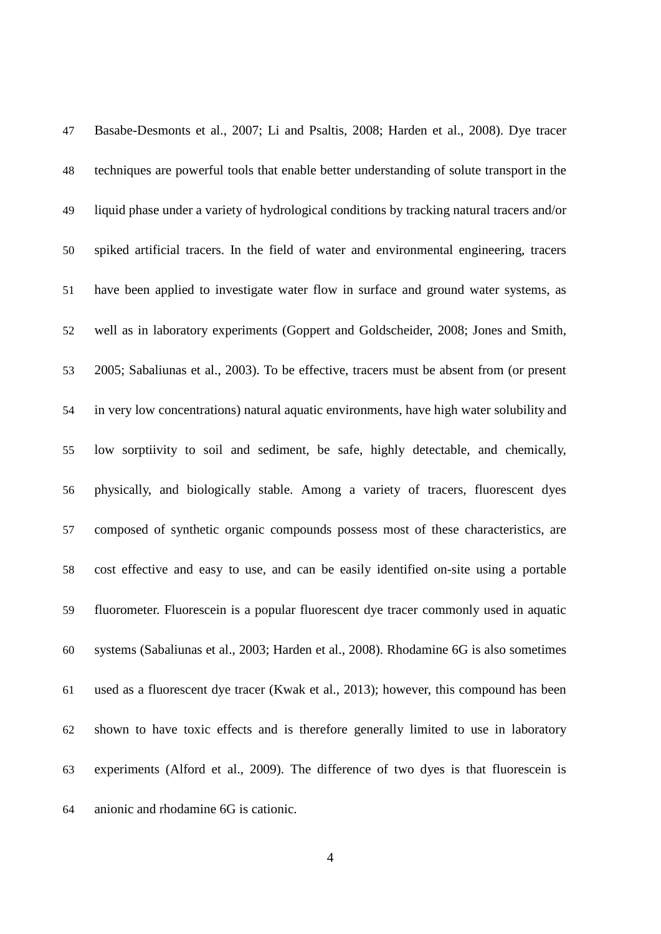| 47 | Basabe-Desmonts et al., 2007; Li and Psaltis, 2008; Harden et al., 2008). Dye tracer       |
|----|--------------------------------------------------------------------------------------------|
| 48 | techniques are powerful tools that enable better understanding of solute transport in the  |
| 49 | liquid phase under a variety of hydrological conditions by tracking natural tracers and/or |
| 50 | spiked artificial tracers. In the field of water and environmental engineering, tracers    |
| 51 | have been applied to investigate water flow in surface and ground water systems, as        |
| 52 | well as in laboratory experiments (Goppert and Goldscheider, 2008; Jones and Smith,        |
| 53 | 2005; Sabaliunas et al., 2003). To be effective, tracers must be absent from (or present   |
| 54 | in very low concentrations) natural aquatic environments, have high water solubility and   |
| 55 | low sorptiivity to soil and sediment, be safe, highly detectable, and chemically,          |
| 56 | physically, and biologically stable. Among a variety of tracers, fluorescent dyes          |
| 57 | composed of synthetic organic compounds possess most of these characteristics, are         |
| 58 | cost effective and easy to use, and can be easily identified on-site using a portable      |
| 59 | fluorometer. Fluorescein is a popular fluorescent dye tracer commonly used in aquatic      |
| 60 | systems (Sabaliunas et al., 2003; Harden et al., 2008). Rhodamine 6G is also sometimes     |
| 61 | used as a fluorescent dye tracer (Kwak et al., 2013); however, this compound has been      |
| 62 | shown to have toxic effects and is therefore generally limited to use in laboratory        |
| 63 | experiments (Alford et al., 2009). The difference of two dyes is that fluorescein is       |
| 64 | anionic and rhodamine 6G is cationic.                                                      |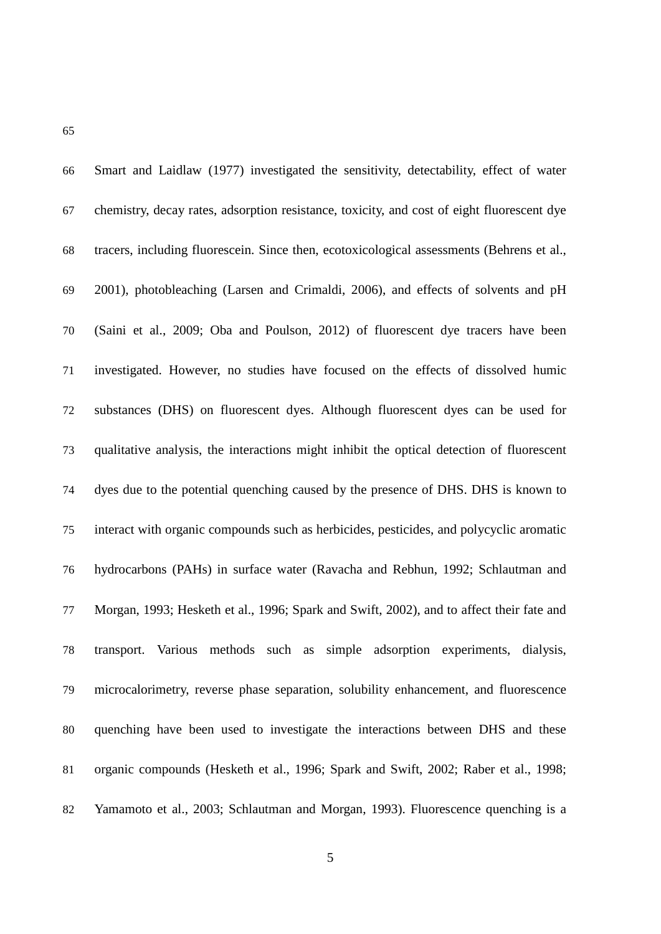| 66 | Smart and Laidlaw (1977) investigated the sensitivity, detectability, effect of water      |
|----|--------------------------------------------------------------------------------------------|
| 67 | chemistry, decay rates, adsorption resistance, toxicity, and cost of eight fluorescent dye |
| 68 | tracers, including fluorescein. Since then, ecotoxicological assessments (Behrens et al.,  |
| 69 | 2001), photobleaching (Larsen and Crimaldi, 2006), and effects of solvents and pH          |
| 70 | (Saini et al., 2009; Oba and Poulson, 2012) of fluorescent dye tracers have been           |
| 71 | investigated. However, no studies have focused on the effects of dissolved humic           |
| 72 | substances (DHS) on fluorescent dyes. Although fluorescent dyes can be used for            |
| 73 | qualitative analysis, the interactions might inhibit the optical detection of fluorescent  |
| 74 | dyes due to the potential quenching caused by the presence of DHS. DHS is known to         |
| 75 | interact with organic compounds such as herbicides, pesticides, and polycyclic aromatic    |
| 76 | hydrocarbons (PAHs) in surface water (Ravacha and Rebhun, 1992; Schlautman and             |
| 77 | Morgan, 1993; Hesketh et al., 1996; Spark and Swift, 2002), and to affect their fate and   |
| 78 | transport. Various methods such as simple adsorption experiments, dialysis,                |
| 79 | microcalorimetry, reverse phase separation, solubility enhancement, and fluorescence       |
| 80 | quenching have been used to investigate the interactions between DHS and these             |
| 81 | organic compounds (Hesketh et al., 1996; Spark and Swift, 2002; Raber et al., 1998;        |
| 82 | Yamamoto et al., 2003; Schlautman and Morgan, 1993). Fluorescence quenching is a           |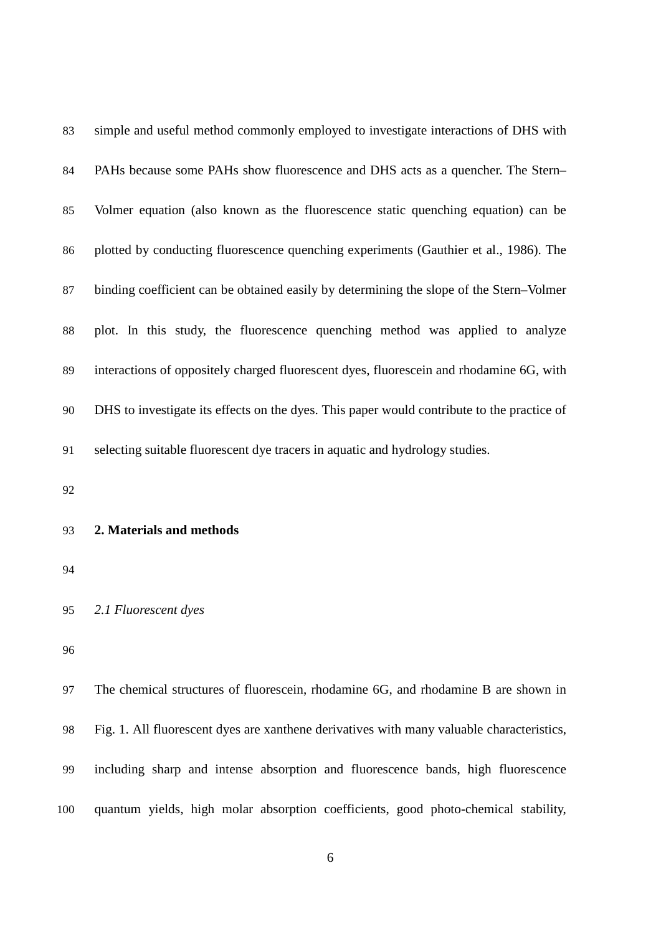| 83 | simple and useful method commonly employed to investigate interactions of DHS with         |
|----|--------------------------------------------------------------------------------------------|
| 84 | PAHs because some PAHs show fluorescence and DHS acts as a quencher. The Stern-            |
| 85 | Volmer equation (also known as the fluorescence static quenching equation) can be          |
| 86 | plotted by conducting fluorescence quenching experiments (Gauthier et al., 1986). The      |
| 87 | binding coefficient can be obtained easily by determining the slope of the Stern-Volmer    |
| 88 | plot. In this study, the fluorescence quenching method was applied to analyze              |
| 89 | interactions of oppositely charged fluorescent dyes, fluorescein and rhodamine 6G, with    |
| 90 | DHS to investigate its effects on the dyes. This paper would contribute to the practice of |
| 91 | selecting suitable fluorescent dye tracers in aquatic and hydrology studies.               |
| 92 |                                                                                            |
| 93 | 2. Materials and methods                                                                   |
| 94 |                                                                                            |
| 95 | 2.1 Fluorescent dyes                                                                       |
| 96 |                                                                                            |
| 97 | The chemical structures of fluorescein, rhodamine 6G, and rhodamine B are shown in         |
| 98 | Fig. 1. All fluorescent dyes are xanthene derivatives with many valuable characteristics,  |
| 99 | including sharp and intense absorption and fluorescence bands, high fluorescence           |

quantum yields, high molar absorption coefficients, good photo-chemical stability,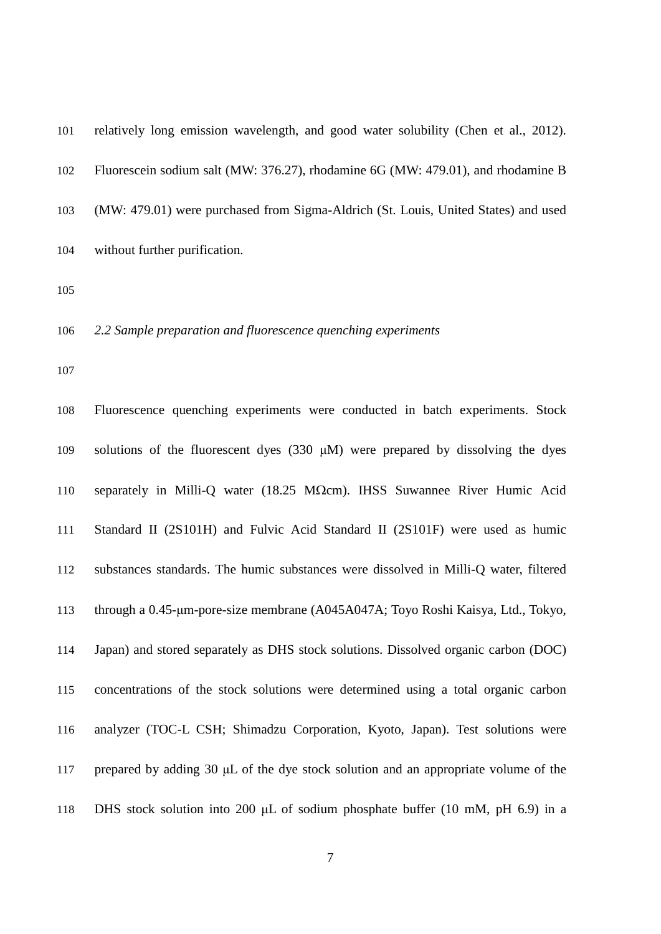| 101 | relatively long emission wavelength, and good water solubility (Chen et al., 2012). |
|-----|-------------------------------------------------------------------------------------|
| 102 | Fluorescein sodium salt (MW: 376.27), rhodamine 6G (MW: 479.01), and rhodamine B    |
| 103 | (MW: 479.01) were purchased from Sigma-Aldrich (St. Louis, United States) and used  |
| 104 | without further purification.                                                       |

#### *2.2 Sample preparation and fluorescence quenching experiments*

 Fluorescence quenching experiments were conducted in batch experiments. Stock solutions of the fluorescent dyes (330 μM) were prepared by dissolving the dyes separately in Milli-Q water (18.25 MΩcm). IHSS Suwannee River Humic Acid Standard II (2S101H) and Fulvic Acid Standard II (2S101F) were used as humic substances standards. The humic substances were dissolved in Milli-Q water, filtered through a 0.45-μm-pore-size membrane (A045A047A; Toyo Roshi Kaisya, Ltd., Tokyo, Japan) and stored separately as DHS stock solutions. Dissolved organic carbon (DOC) concentrations of the stock solutions were determined using a total organic carbon analyzer (TOC-L CSH; Shimadzu Corporation, Kyoto, Japan). Test solutions were prepared by adding 30 μL of the dye stock solution and an appropriate volume of the 118 DHS stock solution into 200 *uL* of sodium phosphate buffer (10 mM, pH 6.9) in a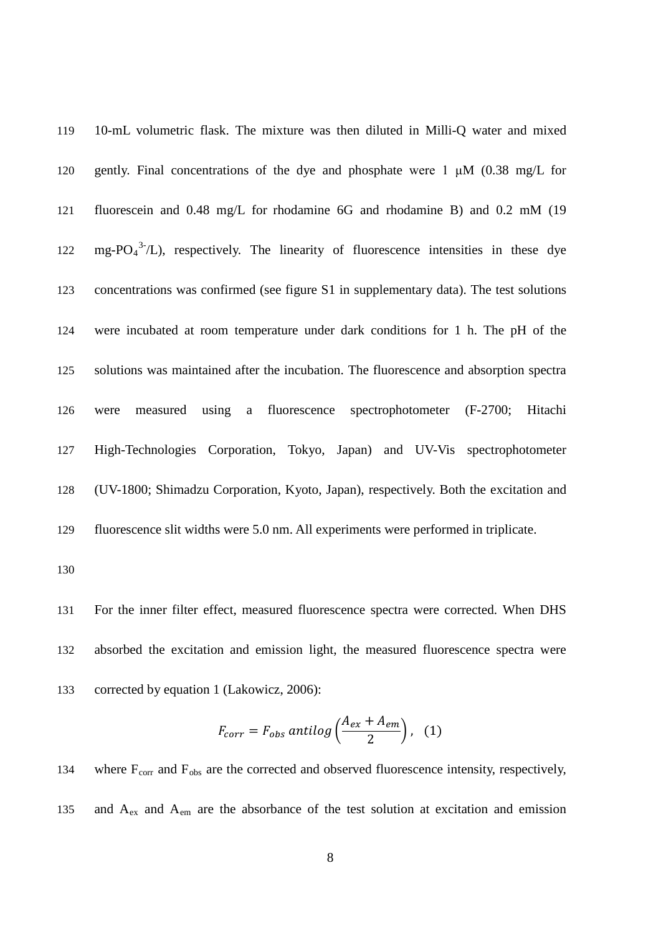10-mL volumetric flask. The mixture was then diluted in Milli-Q water and mixed gently. Final concentrations of the dye and phosphate were 1 μM (0.38 mg/L for fluorescein and 0.48 mg/L for rhodamine 6G and rhodamine B) and 0.2 mM (19  $mg-PO<sub>4</sub><sup>3-</sup>/L$ , respectively. The linearity of fluorescence intensities in these dye concentrations was confirmed (see figure S1 in supplementary data). The test solutions were incubated at room temperature under dark conditions for 1 h. The pH of the solutions was maintained after the incubation. The fluorescence and absorption spectra were measured using a fluorescence spectrophotometer (F-2700; Hitachi High-Technologies Corporation, Tokyo, Japan) and UV-Vis spectrophotometer (UV-1800; Shimadzu Corporation, Kyoto, Japan), respectively. Both the excitation and fluorescence slit widths were 5.0 nm. All experiments were performed in triplicate.

 For the inner filter effect, measured fluorescence spectra were corrected. When DHS absorbed the excitation and emission light, the measured fluorescence spectra were corrected by equation 1 (Lakowicz, 2006):

$$
F_{corr} = F_{obs}\,\text{antilog}\left(\frac{A_{ex} + A_{em}}{2}\right),\tag{1}
$$

134 where  $F_{\text{corr}}$  and  $F_{\text{obs}}$  are the corrected and observed fluorescence intensity, respectively, 135 and  $A_{ex}$  and  $A_{em}$  are the absorbance of the test solution at excitation and emission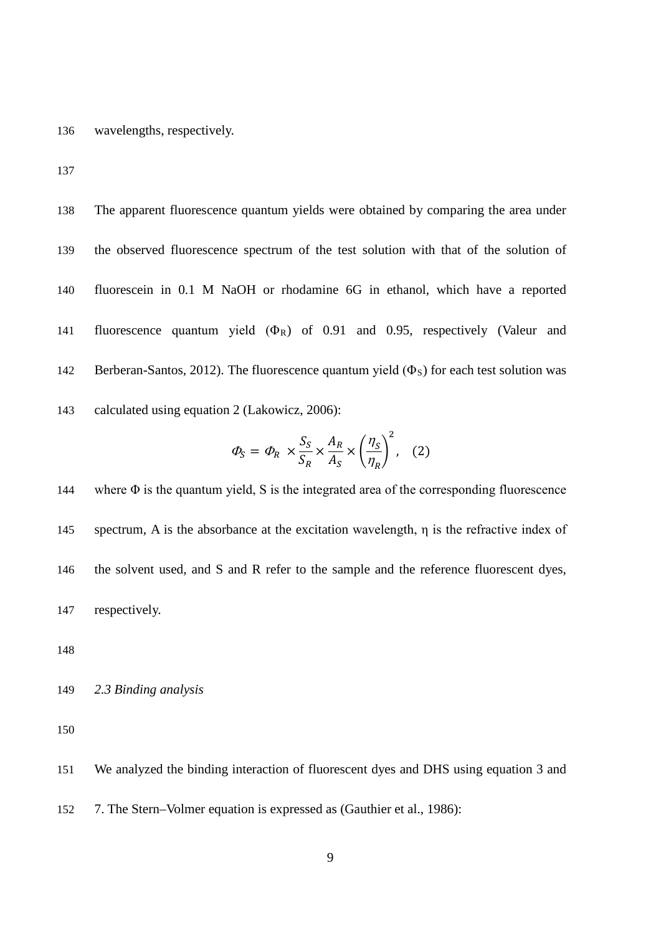136 wavelengths, respectively.

137

 The apparent fluorescence quantum yields were obtained by comparing the area under the observed fluorescence spectrum of the test solution with that of the solution of fluorescein in 0.1 M NaOH or rhodamine 6G in ethanol, which have a reported 141 fluorescence quantum yield  $(\Phi_R)$  of 0.91 and 0.95, respectively (Valeur and 142 Berberan-Santos, 2012). The fluorescence quantum yield  $(\Phi_s)$  for each test solution was calculated using equation 2 (Lakowicz, 2006):

$$
\varPhi_S = \varPhi_R \times \frac{S_S}{S_R} \times \frac{A_R}{A_S} \times \left(\frac{\eta_S}{\eta_R}\right)^2, \quad (2)
$$

 where Φ is the quantum yield, S is the integrated area of the corresponding fluorescence spectrum, A is the absorbance at the excitation wavelength, η is the refractive index of 146 the solvent used, and S and R refer to the sample and the reference fluorescent dyes, respectively.

148

149 *2.3 Binding analysis*

150

151 We analyzed the binding interaction of fluorescent dyes and DHS using equation 3 and

152 7. The Stern–Volmer equation is expressed as (Gauthier et al., 1986):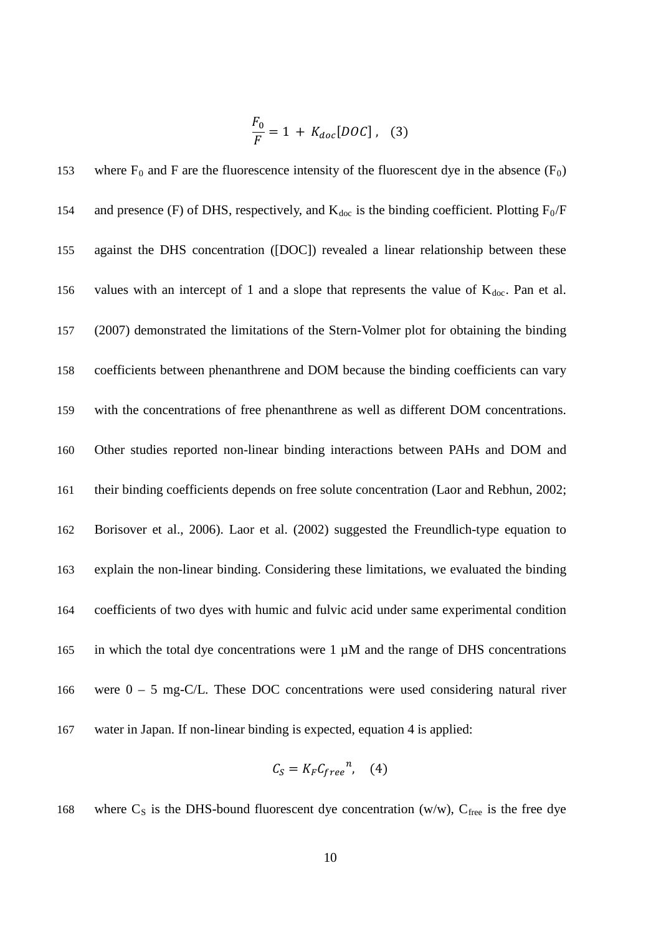$$
\frac{F_0}{F} = 1 + K_{doc}[DOC], \quad (3)
$$

153 where  $F_0$  and F are the fluorescence intensity of the fluorescent dye in the absence  $(F_0)$ 154 and presence (F) of DHS, respectively, and  $K_{doc}$  is the binding coefficient. Plotting  $F_0/F$  against the DHS concentration ([DOC]) revealed a linear relationship between these 156 values with an intercept of 1 and a slope that represents the value of  $K_{doc}$ . Pan et al. (2007) demonstrated the limitations of the Stern-Volmer plot for obtaining the binding coefficients between phenanthrene and DOM because the binding coefficients can vary with the concentrations of free phenanthrene as well as different DOM concentrations. Other studies reported non-linear binding interactions between PAHs and DOM and their binding coefficients depends on free solute concentration (Laor and Rebhun, 2002; Borisover et al., 2006). Laor et al. (2002) suggested the Freundlich-type equation to explain the non-linear binding. Considering these limitations, we evaluated the binding coefficients of two dyes with humic and fulvic acid under same experimental condition 165 in which the total dye concentrations were  $1 \mu M$  and the range of DHS concentrations were 0 – 5 mg-C/L. These DOC concentrations were used considering natural river water in Japan. If non-linear binding is expected, equation 4 is applied:

$$
C_S = K_F C_{free}^n, \quad (4)
$$

168 where  $C_s$  is the DHS-bound fluorescent dye concentration (w/w),  $C_{\text{free}}$  is the free dye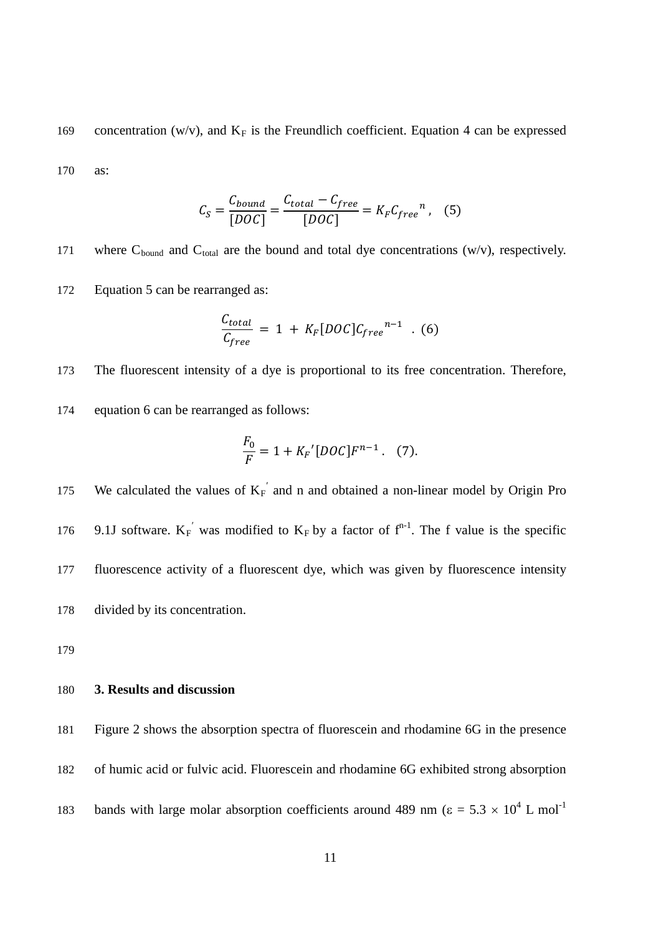169 concentration (w/v), and  $K_F$  is the Freundlich coefficient. Equation 4 can be expressed 170 as:

$$
C_S = \frac{C_{bound}}{[DOC]} = \frac{C_{total} - C_{free}}{[DOC]} = K_F C_{free}^n \,, \quad (5)
$$

171 where  $C_{bound}$  and  $C_{total}$  are the bound and total dye concentrations (w/v), respectively.

172 Equation 5 can be rearranged as:

$$
\frac{C_{total}}{C_{free}} = 1 + K_F[DOC]C_{free}^{n-1} \quad . \quad (6)
$$

173 The fluorescent intensity of a dye is proportional to its free concentration. Therefore,

174 equation 6 can be rearranged as follows:

$$
\frac{F_0}{F} = 1 + K_F'[DOC]F^{n-1}.
$$
 (7).

175 We calculated the values of  $K_F'$  and n and obtained a non-linear model by Origin Pro 176 9.1J software.  $K_F'$  was modified to  $K_F$  by a factor of  $f^{n-1}$ . The f value is the specific 177 fluorescence activity of a fluorescent dye, which was given by fluorescence intensity 178 divided by its concentration.

179

## 180 **3. Results and discussion**

181 Figure 2 shows the absorption spectra of fluorescein and rhodamine 6G in the presence 182 of humic acid or fulvic acid. Fluorescein and rhodamine 6G exhibited strong absorption bands with large molar absorption coefficients around 489 nm ( $\varepsilon = 5.3 \times 10^4$  L mol<sup>-1</sup>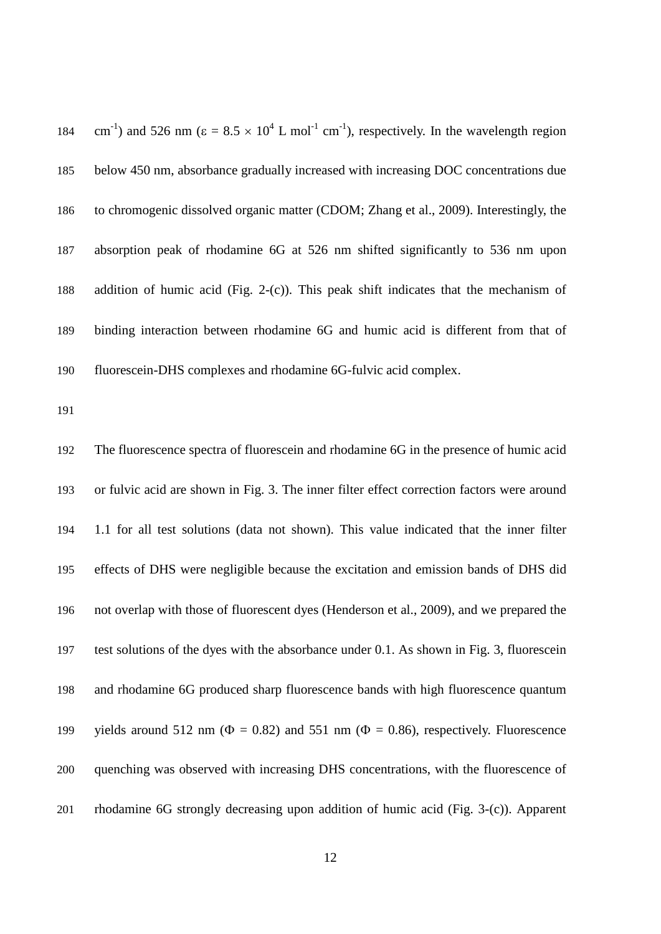184 cm<sup>-1</sup>) and 526 nm ( $\varepsilon = 8.5 \times 10^4$  L mol<sup>-1</sup> cm<sup>-1</sup>), respectively. In the wavelength region below 450 nm, absorbance gradually increased with increasing DOC concentrations due to chromogenic dissolved organic matter (CDOM; Zhang et al., 2009). Interestingly, the absorption peak of rhodamine 6G at 526 nm shifted significantly to 536 nm upon addition of humic acid (Fig. 2-(c)). This peak shift indicates that the mechanism of binding interaction between rhodamine 6G and humic acid is different from that of fluorescein-DHS complexes and rhodamine 6G-fulvic acid complex.

 The fluorescence spectra of fluorescein and rhodamine 6G in the presence of humic acid or fulvic acid are shown in Fig. 3. The inner filter effect correction factors were around 1.1 for all test solutions (data not shown). This value indicated that the inner filter effects of DHS were negligible because the excitation and emission bands of DHS did not overlap with those of fluorescent dyes (Henderson et al., 2009), and we prepared the test solutions of the dyes with the absorbance under 0.1. As shown in Fig. 3, fluorescein and rhodamine 6G produced sharp fluorescence bands with high fluorescence quantum 199 yields around 512 nm ( $\Phi = 0.82$ ) and 551 nm ( $\Phi = 0.86$ ), respectively. Fluorescence quenching was observed with increasing DHS concentrations, with the fluorescence of rhodamine 6G strongly decreasing upon addition of humic acid (Fig. 3-(c)). Apparent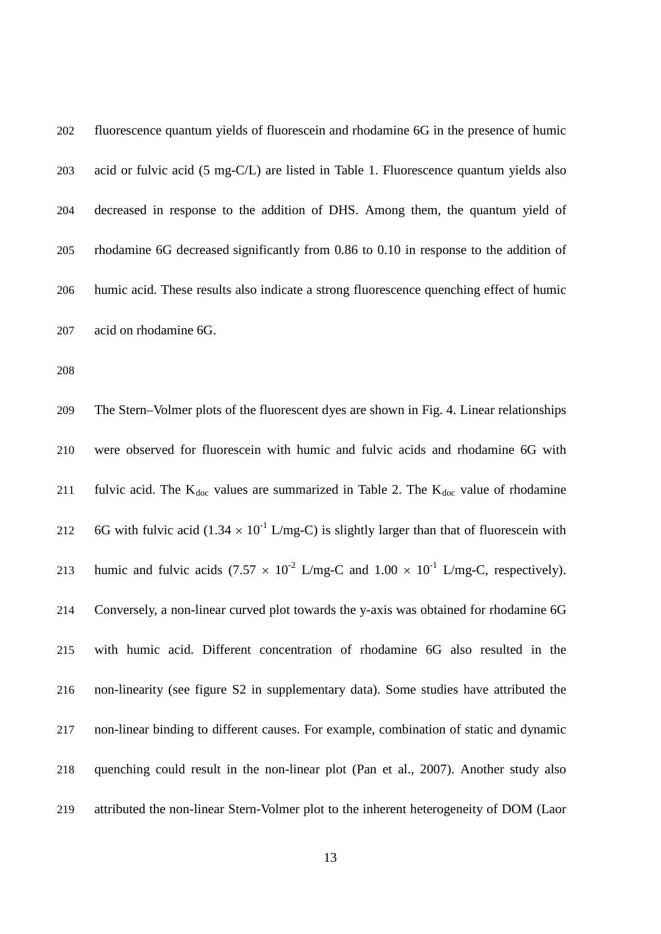fluorescence quantum yields of fluorescein and rhodamine 6G in the presence of humic acid or fulvic acid (5 mg-C/L) are listed in Table 1. Fluorescence quantum yields also decreased in response to the addition of DHS. Among them, the quantum yield of rhodamine 6G decreased significantly from 0.86 to 0.10 in response to the addition of humic acid. These results also indicate a strong fluorescence quenching effect of humic acid on rhodamine 6G.

 The Stern–Volmer plots of the fluorescent dyes are shown in Fig. 4. Linear relationships were observed for fluorescein with humic and fulvic acids and rhodamine 6G with 211 fulvic acid. The  $K_{doc}$  values are summarized in Table 2. The  $K_{doc}$  value of rhodamine 212 6G with fulvic acid (1.34  $\times$  10<sup>-1</sup> L/mg-C) is slightly larger than that of fluorescein with 213 humic and fulvic acids  $(7.57 \times 10^{-2} \text{ L/mg-C}$  and  $1.00 \times 10^{-1} \text{ L/mg-C}$ , respectively). Conversely, a non-linear curved plot towards the y-axis was obtained for rhodamine 6G with humic acid. Different concentration of rhodamine 6G also resulted in the non-linearity (see figure S2 in supplementary data). Some studies have attributed the non-linear binding to different causes. For example, combination of static and dynamic quenching could result in the non-linear plot (Pan et al., 2007). Another study also attributed the non-linear Stern-Volmer plot to the inherent heterogeneity of DOM (Laor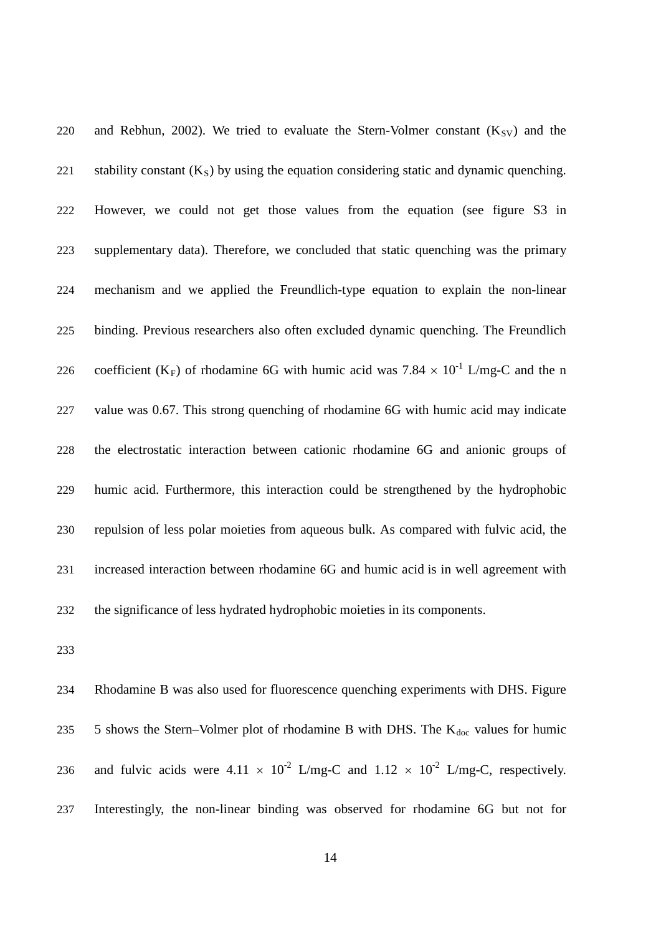220 and Rebhun, 2002). We tried to evaluate the Stern-Volmer constant  $(K_{SV})$  and the 221 stability constant  $(K<sub>S</sub>)$  by using the equation considering static and dynamic quenching. However, we could not get those values from the equation (see figure S3 in supplementary data). Therefore, we concluded that static quenching was the primary mechanism and we applied the Freundlich-type equation to explain the non-linear binding. Previous researchers also often excluded dynamic quenching. The Freundlich 226 coefficient (K<sub>F</sub>) of rhodamine 6G with humic acid was 7.84  $\times$  10<sup>-1</sup> L/mg-C and the n value was 0.67. This strong quenching of rhodamine 6G with humic acid may indicate the electrostatic interaction between cationic rhodamine 6G and anionic groups of humic acid. Furthermore, this interaction could be strengthened by the hydrophobic repulsion of less polar moieties from aqueous bulk. As compared with fulvic acid, the increased interaction between rhodamine 6G and humic acid is in well agreement with the significance of less hydrated hydrophobic moieties in its components.

 Rhodamine B was also used for fluorescence quenching experiments with DHS. Figure 235 5 shows the Stern–Volmer plot of rhodamine B with DHS. The  $K_{doc}$  values for humic 236 and fulvic acids were  $4.11 \times 10^{-2}$  L/mg-C and  $1.12 \times 10^{-2}$  L/mg-C, respectively. Interestingly, the non-linear binding was observed for rhodamine 6G but not for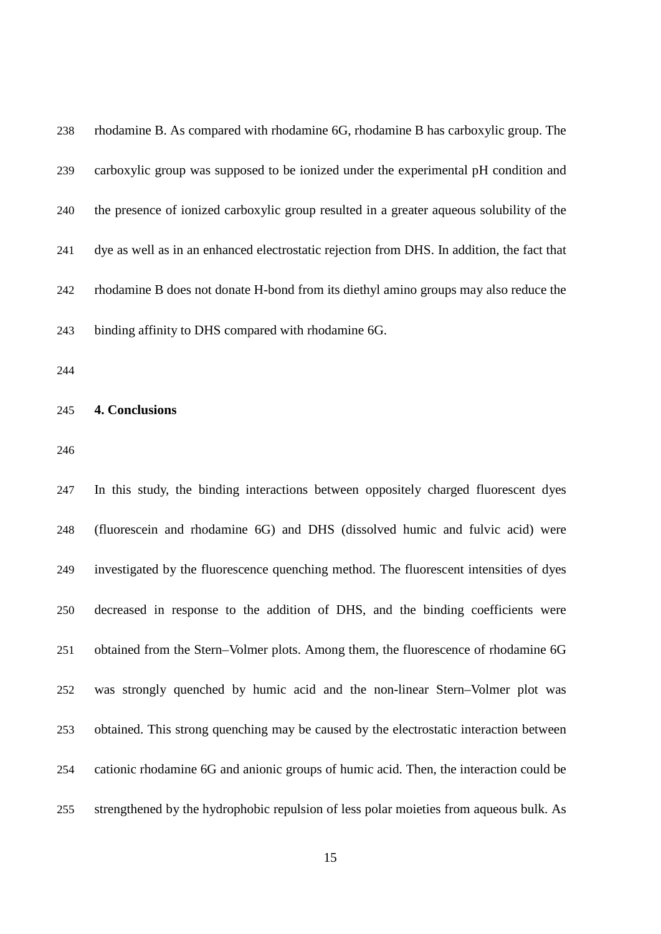| 238 | rhodamine B. As compared with rhodamine 6G, rhodamine B has carboxylic group. The          |
|-----|--------------------------------------------------------------------------------------------|
| 239 | carboxylic group was supposed to be ionized under the experimental pH condition and        |
| 240 | the presence of ionized carboxylic group resulted in a greater aqueous solubility of the   |
| 241 | dye as well as in an enhanced electrostatic rejection from DHS. In addition, the fact that |
| 242 | rhodamine B does not donate H-bond from its diethyl amino groups may also reduce the       |
| 243 | binding affinity to DHS compared with rhodamine 6G.                                        |

## **4. Conclusions**

 In this study, the binding interactions between oppositely charged fluorescent dyes (fluorescein and rhodamine 6G) and DHS (dissolved humic and fulvic acid) were investigated by the fluorescence quenching method. The fluorescent intensities of dyes decreased in response to the addition of DHS, and the binding coefficients were obtained from the Stern–Volmer plots. Among them, the fluorescence of rhodamine 6G was strongly quenched by humic acid and the non-linear Stern–Volmer plot was obtained. This strong quenching may be caused by the electrostatic interaction between cationic rhodamine 6G and anionic groups of humic acid. Then, the interaction could be strengthened by the hydrophobic repulsion of less polar moieties from aqueous bulk. As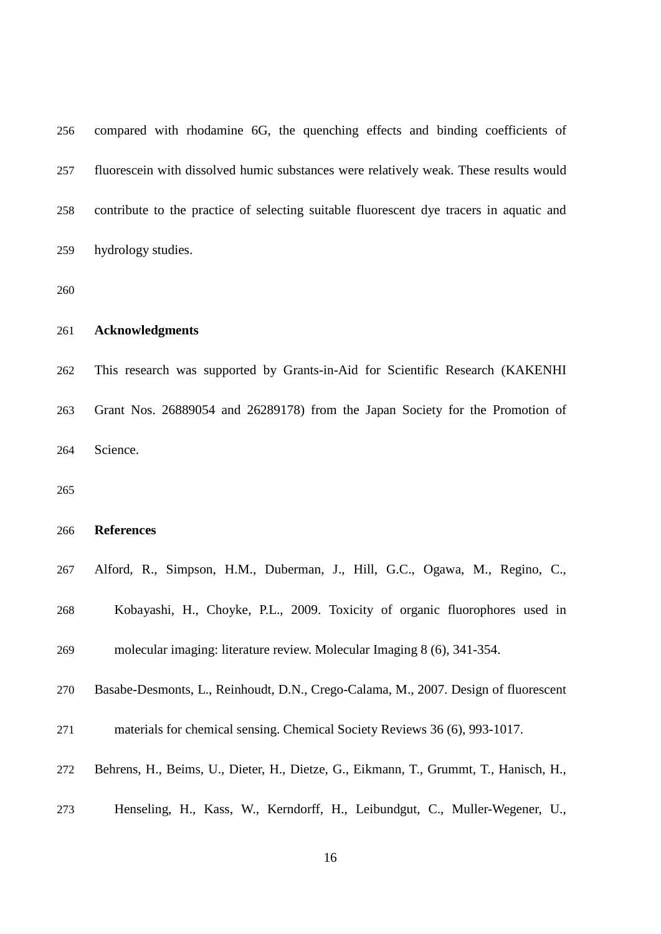| 256 | compared with rhodamine 6G, the quenching effects and binding coefficients of           |
|-----|-----------------------------------------------------------------------------------------|
| 257 | fluorescein with dissolved humic substances were relatively weak. These results would   |
| 258 | contribute to the practice of selecting suitable fluorescent dye tracers in aquatic and |
| 259 | hydrology studies.                                                                      |
| 260 |                                                                                         |
| 261 | <b>Acknowledgments</b>                                                                  |
| 262 | This research was supported by Grants-in-Aid for Scientific Research (KAKENHI           |
| 263 | Grant Nos. 26889054 and 26289178) from the Japan Society for the Promotion of           |
| 264 | Science.                                                                                |
| 265 |                                                                                         |
| 266 | <b>References</b>                                                                       |
| 267 | Alford, R., Simpson, H.M., Duberman, J., Hill, G.C., Ogawa, M., Regino, C.,             |
| 268 | Kobayashi, H., Choyke, P.L., 2009. Toxicity of organic fluorophores used in             |
| 269 | molecular imaging: literature review. Molecular Imaging 8 (6), 341-354.                 |
| 270 | Basabe-Desmonts, L., Reinhoudt, D.N., Crego-Calama, M., 2007. Design of fluorescent     |
| 271 | materials for chemical sensing. Chemical Society Reviews 36 (6), 993-1017.              |
| 272 | Behrens, H., Beims, U., Dieter, H., Dietze, G., Eikmann, T., Grummt, T., Hanisch, H.,   |
| 273 | Henseling, H., Kass, W., Kerndorff, H., Leibundgut, C., Muller-Wegener, U.,             |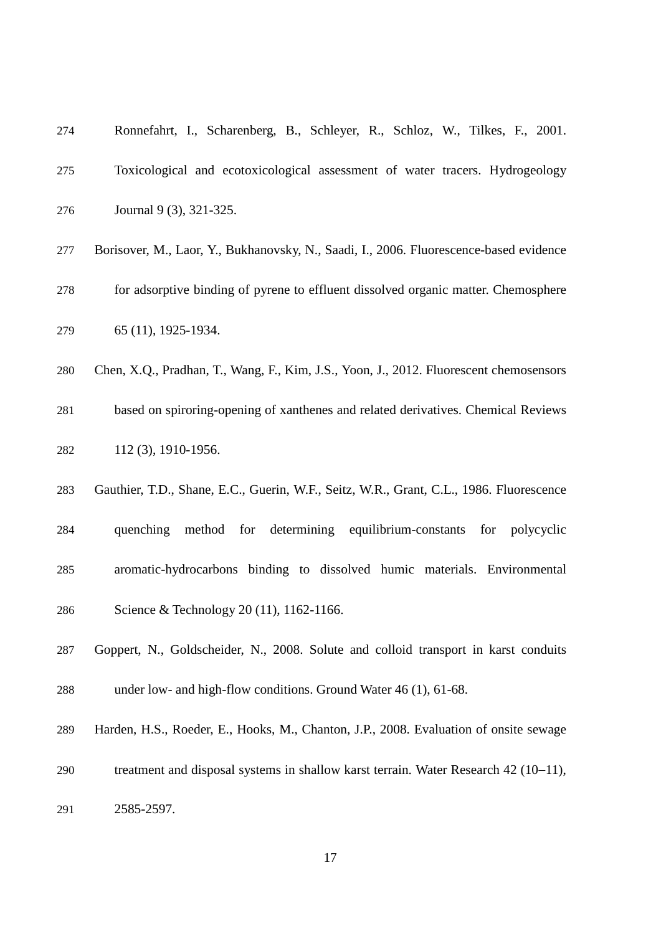| 274 | Ronnefahrt, I., Scharenberg, B., Schleyer, R., Schloz, W., Tilkes, F., 2001.            |
|-----|-----------------------------------------------------------------------------------------|
| 275 | Toxicological and ecotoxicological assessment of water tracers. Hydrogeology            |
| 276 | Journal 9 (3), 321-325.                                                                 |
| 277 | Borisover, M., Laor, Y., Bukhanovsky, N., Saadi, I., 2006. Fluorescence-based evidence  |
| 278 | for adsorptive binding of pyrene to effluent dissolved organic matter. Chemosphere      |
| 279 | 65 (11), 1925-1934.                                                                     |
| 280 | Chen, X.Q., Pradhan, T., Wang, F., Kim, J.S., Yoon, J., 2012. Fluorescent chemosensors  |
| 281 | based on spiroring-opening of xanthenes and related derivatives. Chemical Reviews       |
| 282 | 112 (3), 1910-1956.                                                                     |
| 283 | Gauthier, T.D., Shane, E.C., Guerin, W.F., Seitz, W.R., Grant, C.L., 1986. Fluorescence |
| 284 | method for determining equilibrium-constants<br>quenching<br>for polycyclic             |
| 285 | aromatic-hydrocarbons binding to dissolved humic materials. Environmental               |
| 286 | Science & Technology 20 (11), 1162-1166.                                                |
| 287 | Goppert, N., Goldscheider, N., 2008. Solute and colloid transport in karst conduits     |
| 288 | under low- and high-flow conditions. Ground Water 46 (1), 61-68.                        |
| 289 | Harden, H.S., Roeder, E., Hooks, M., Chanton, J.P., 2008. Evaluation of onsite sewage   |
| 290 | treatment and disposal systems in shallow karst terrain. Water Research 42 (10–11),     |

2585-2597.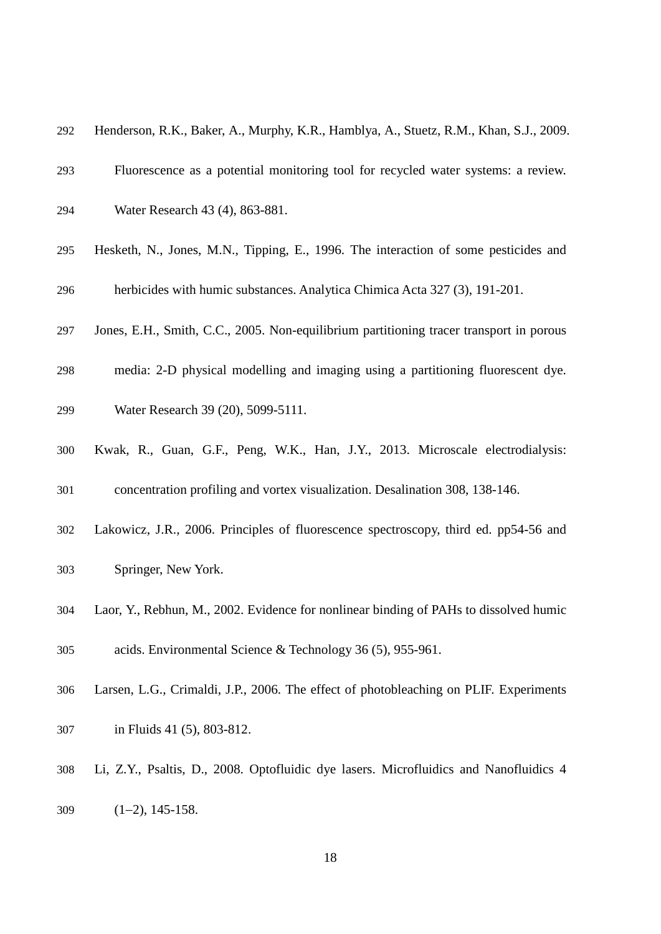| 292 | Henderson, R.K., Baker, A., Murphy, K.R., Hamblya, A., Stuetz, R.M., Khan, S.J., 2009.  |
|-----|-----------------------------------------------------------------------------------------|
| 293 | Fluorescence as a potential monitoring tool for recycled water systems: a review.       |
| 294 | Water Research 43 (4), 863-881.                                                         |
| 295 | Hesketh, N., Jones, M.N., Tipping, E., 1996. The interaction of some pesticides and     |
| 296 | herbicides with humic substances. Analytica Chimica Acta 327 (3), 191-201.              |
| 297 | Jones, E.H., Smith, C.C., 2005. Non-equilibrium partitioning tracer transport in porous |
| 298 | media: 2-D physical modelling and imaging using a partitioning fluorescent dye.         |
| 299 | Water Research 39 (20), 5099-5111.                                                      |
| 300 | Kwak, R., Guan, G.F., Peng, W.K., Han, J.Y., 2013. Microscale electrodialysis:          |
| 301 | concentration profiling and vortex visualization. Desalination 308, 138-146.            |
| 302 | Lakowicz, J.R., 2006. Principles of fluorescence spectroscopy, third ed. pp54-56 and    |
| 303 | Springer, New York.                                                                     |
| 304 | Laor, Y., Rebhun, M., 2002. Evidence for nonlinear binding of PAHs to dissolved humic   |
| 305 | acids. Environmental Science & Technology 36 (5), 955-961.                              |
| 306 | Larsen, L.G., Crimaldi, J.P., 2006. The effect of photobleaching on PLIF. Experiments   |
| 307 | in Fluids 41 (5), 803-812.                                                              |
|     |                                                                                         |

Li, Z.Y., Psaltis, D., 2008. Optofluidic dye lasers. Microfluidics and Nanofluidics 4

(1−2), 145-158.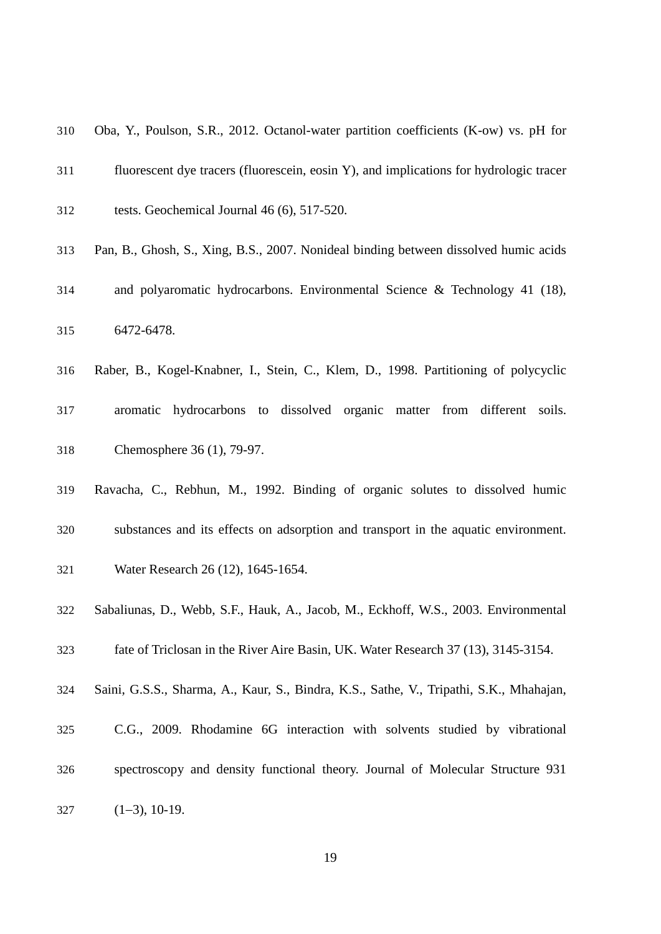| 310 | Oba, Y., Poulson, S.R., 2012. Octanol-water partition coefficients (K-ow) vs. pH for    |
|-----|-----------------------------------------------------------------------------------------|
| 311 | fluorescent dye tracers (fluorescein, eosin Y), and implications for hydrologic tracer  |
| 312 | tests. Geochemical Journal 46 (6), 517-520.                                             |
| 313 | Pan, B., Ghosh, S., Xing, B.S., 2007. Nonideal binding between dissolved humic acids    |
| 314 | and polyaromatic hydrocarbons. Environmental Science & Technology 41 (18),              |
| 315 | 6472-6478.                                                                              |
| 316 | Raber, B., Kogel-Knabner, I., Stein, C., Klem, D., 1998. Partitioning of polycyclic     |
| 317 | aromatic hydrocarbons to dissolved organic matter from different soils.                 |
| 318 | Chemosphere 36 (1), 79-97.                                                              |
| 319 | Ravacha, C., Rebhun, M., 1992. Binding of organic solutes to dissolved humic            |
| 320 | substances and its effects on adsorption and transport in the aquatic environment.      |
| 321 | Water Research 26 (12), 1645-1654.                                                      |
| 322 | Sabaliunas, D., Webb, S.F., Hauk, A., Jacob, M., Eckhoff, W.S., 2003. Environmental     |
| 323 | fate of Triclosan in the River Aire Basin, UK. Water Research 37 (13), 3145-3154.       |
| 324 | Saini, G.S.S., Sharma, A., Kaur, S., Bindra, K.S., Sathe, V., Tripathi, S.K., Mhahajan, |
| 325 | C.G., 2009. Rhodamine 6G interaction with solvents studied by vibrational               |

spectroscopy and density functional theory. Journal of Molecular Structure 931

(1−3), 10-19.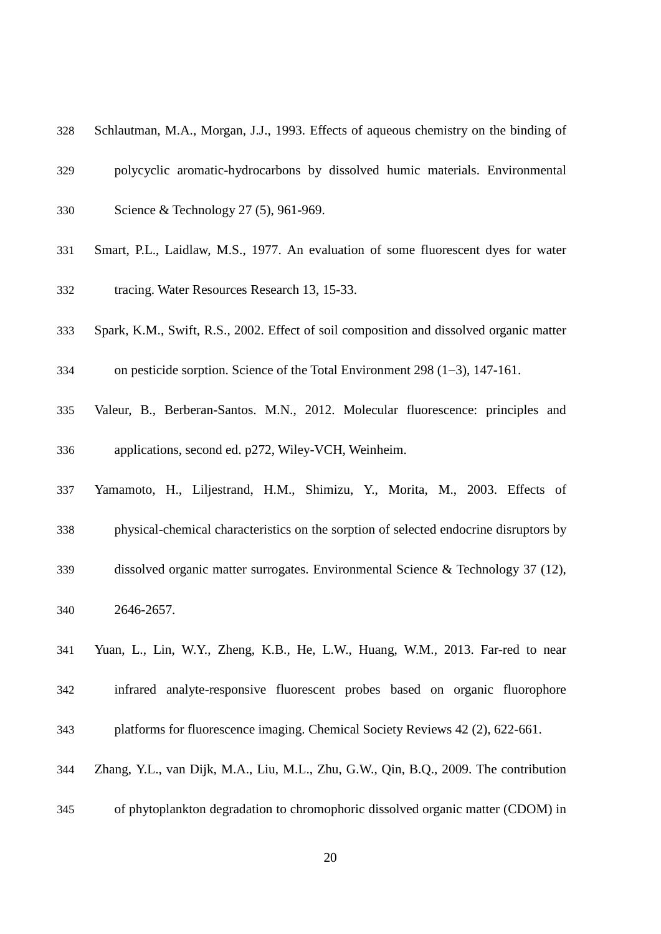- Schlautman, M.A., Morgan, J.J., 1993. Effects of aqueous chemistry on the binding of
- polycyclic aromatic-hydrocarbons by dissolved humic materials. Environmental
- Science & Technology 27 (5), 961-969.
- Smart, P.L., Laidlaw, M.S., 1977. An evaluation of some fluorescent dyes for water tracing. Water Resources Research 13, 15-33.
- Spark, K.M., Swift, R.S., 2002. Effect of soil composition and dissolved organic matter
- on pesticide sorption. Science of the Total Environment 298 (1−3), 147-161.
- Valeur, B., Berberan-Santos. M.N., 2012. Molecular fluorescence: principles and applications, second ed. p272, Wiley-VCH, Weinheim.
- Yamamoto, H., Liljestrand, H.M., Shimizu, Y., Morita, M., 2003. Effects of
- physical-chemical characteristics on the sorption of selected endocrine disruptors by
- dissolved organic matter surrogates. Environmental Science & Technology 37 (12),
- 2646-2657.
- Yuan, L., Lin, W.Y., Zheng, K.B., He, L.W., Huang, W.M., 2013. Far-red to near
- infrared analyte-responsive fluorescent probes based on organic fluorophore
- platforms for fluorescence imaging. Chemical Society Reviews 42 (2), 622-661.
- Zhang, Y.L., van Dijk, M.A., Liu, M.L., Zhu, G.W., Qin, B.Q., 2009. The contribution
- of phytoplankton degradation to chromophoric dissolved organic matter (CDOM) in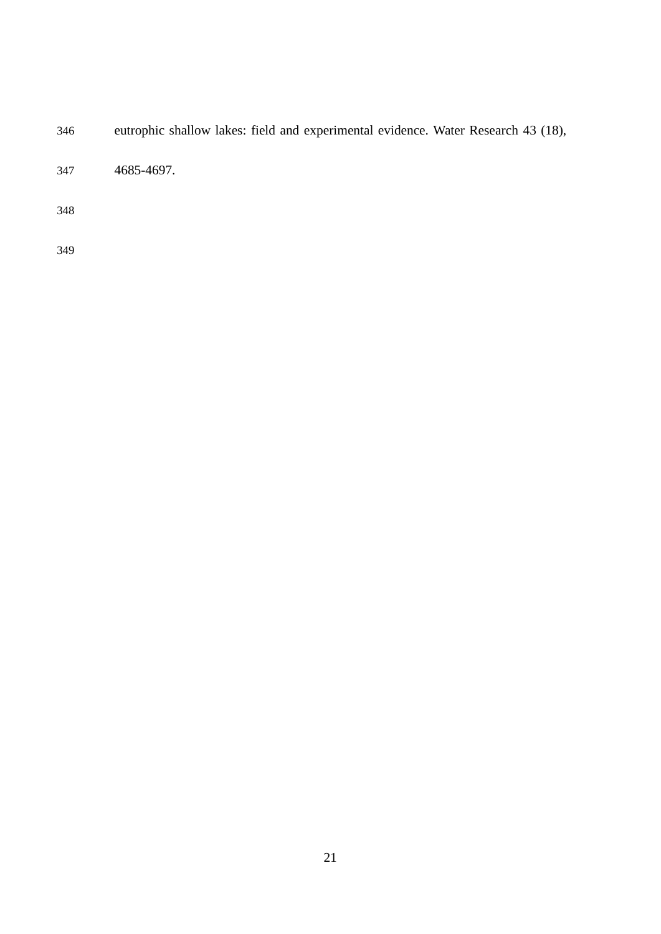eutrophic shallow lakes: field and experimental evidence. Water Research 43 (18),

4685-4697.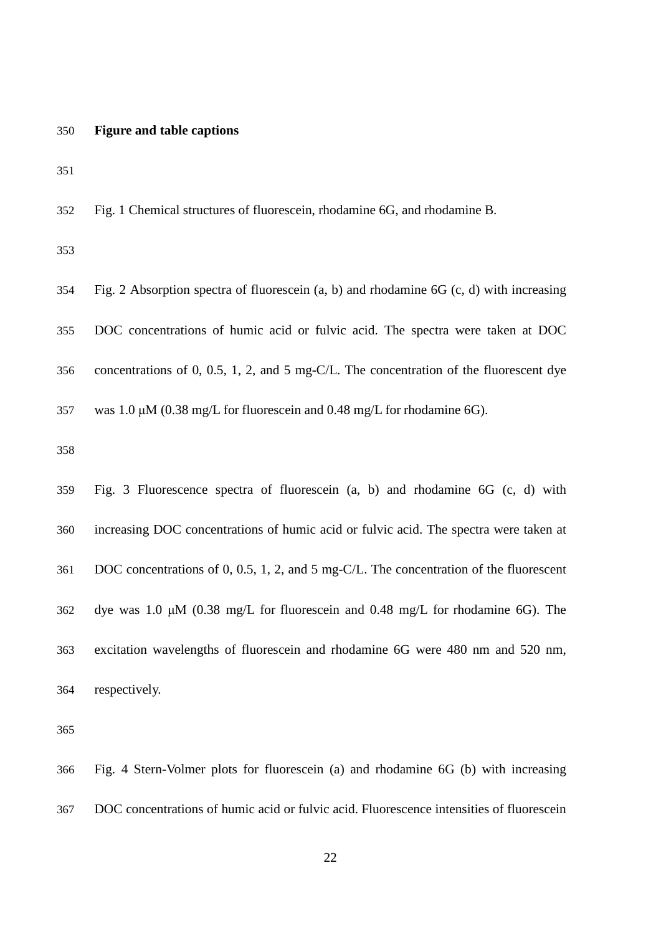### **Figure and table captions**

Fig. 1 Chemical structures of fluorescein, rhodamine 6G, and rhodamine B.

 Fig. 2 Absorption spectra of fluorescein (a, b) and rhodamine 6G (c, d) with increasing DOC concentrations of humic acid or fulvic acid. The spectra were taken at DOC concentrations of 0, 0.5, 1, 2, and 5 mg-C/L. The concentration of the fluorescent dye was 1.0 μM (0.38 mg/L for fluorescein and 0.48 mg/L for rhodamine 6G).

 Fig. 3 Fluorescence spectra of fluorescein (a, b) and rhodamine 6G (c, d) with increasing DOC concentrations of humic acid or fulvic acid. The spectra were taken at DOC concentrations of 0, 0.5, 1, 2, and 5 mg-C/L. The concentration of the fluorescent dye was 1.0 μM (0.38 mg/L for fluorescein and 0.48 mg/L for rhodamine 6G). The excitation wavelengths of fluorescein and rhodamine 6G were 480 nm and 520 nm, respectively.

 Fig. 4 Stern-Volmer plots for fluorescein (a) and rhodamine 6G (b) with increasing DOC concentrations of humic acid or fulvic acid. Fluorescence intensities of fluorescein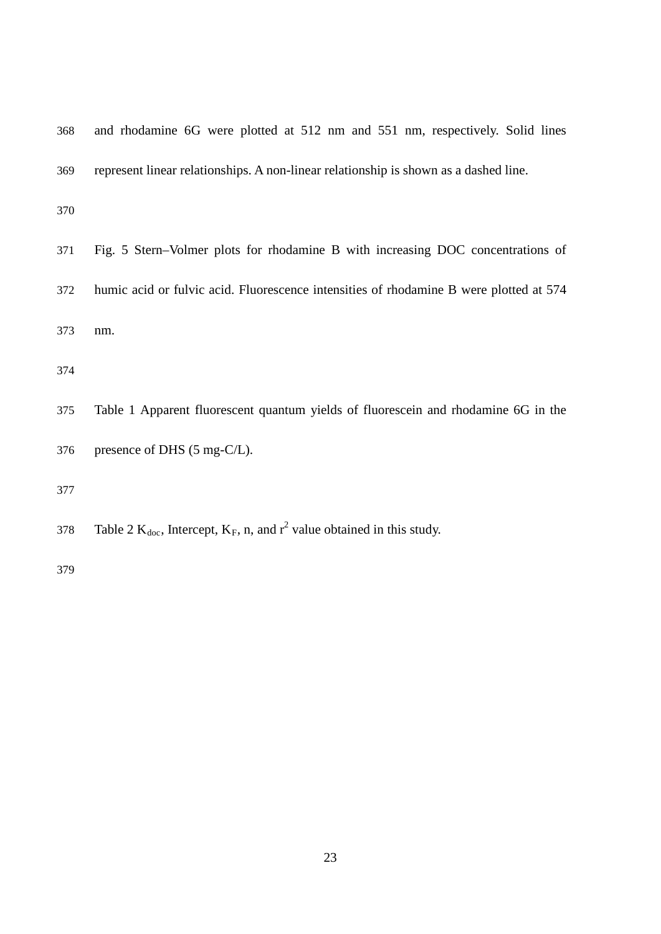| 368 | and rhodamine 6G were plotted at 512 nm and 551 nm, respectively. Solid lines          |
|-----|----------------------------------------------------------------------------------------|
| 369 | represent linear relationships. A non-linear relationship is shown as a dashed line.   |
| 370 |                                                                                        |
| 371 | Fig. 5 Stern-Volmer plots for rhodamine B with increasing DOC concentrations of        |
| 372 | humic acid or fulvic acid. Fluorescence intensities of rhodamine B were plotted at 574 |
| 373 | nm.                                                                                    |
| 374 |                                                                                        |
| 375 | Table 1 Apparent fluorescent quantum yields of fluorescein and rhodamine 6G in the     |
| 376 | presence of DHS (5 mg-C/L).                                                            |
| 377 |                                                                                        |
| 378 | Table 2 $K_{doc}$ , Intercept, $K_F$ , n, and $r^2$ value obtained in this study.      |
|     |                                                                                        |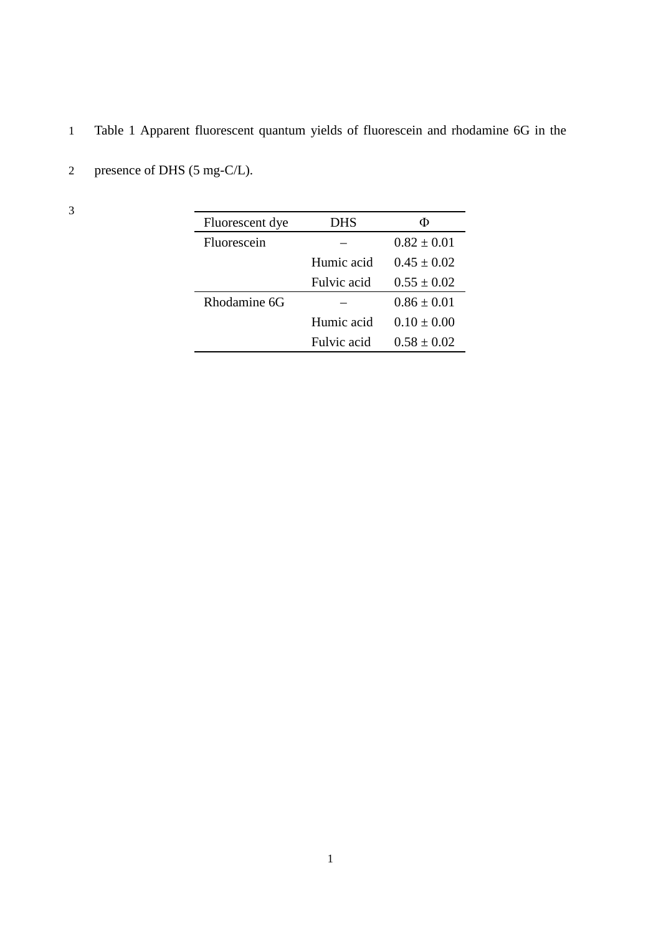1 Table 1 Apparent fluorescent quantum yields of fluorescein and rhodamine 6G in the

| Fluorescent dye | DHS         | Φ               |  |
|-----------------|-------------|-----------------|--|
| Fluorescein     |             | $0.82 + 0.01$   |  |
|                 | Humic acid  | $0.45 + 0.02$   |  |
|                 | Fulvic acid | $0.55 + 0.02$   |  |
| Rhodamine 6G    |             | $0.86 + 0.01$   |  |
|                 | Humic acid  | $0.10 + 0.00$   |  |
|                 | Fulvic acid | $0.58 \pm 0.02$ |  |

2 presence of DHS (5 mg-C/L).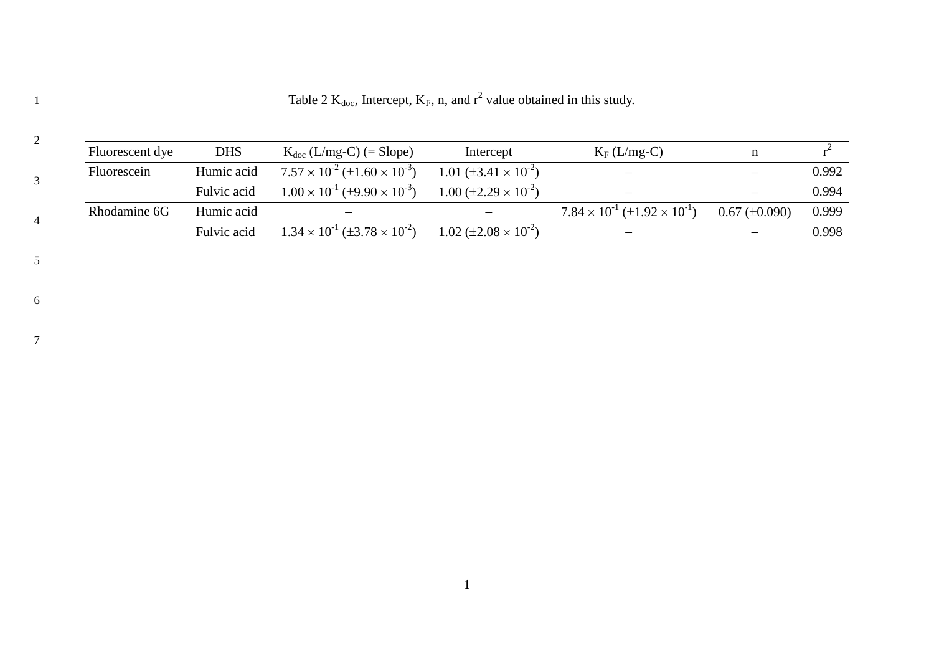Table 2  $K_{doc}$ , Intercept,  $K_F$ , n, and  $r^2$  value obtained in this study.

| 2              |                 |             |                                                 |                                               |                                                 |                          |       |
|----------------|-----------------|-------------|-------------------------------------------------|-----------------------------------------------|-------------------------------------------------|--------------------------|-------|
|                | Fluorescent dye | <b>DHS</b>  | $K_{doc}$ (L/mg-C) (= Slope)                    | Intercept                                     | $K_F(L/mg-C)$                                   |                          |       |
|                | Fluorescein     | Humic acid  | $7.57 \times 10^{-2} (\pm 1.60 \times 10^{-3})$ | 1.01 ( $\pm$ 3.41 $\times$ 10 <sup>-2</sup> ) | $\overline{\phantom{a}}$                        | $\overline{\phantom{0}}$ | 0.992 |
|                |                 | Fulvic acid | $1.00 \times 10^{-1}$ (±9.90 $\times 10^{-3}$ ) | $1.00 \ (\pm 2.29 \times 10^{-2})$            | $\qquad \qquad -$                               | $\overline{\phantom{m}}$ | 0.994 |
| $\overline{4}$ | Rhodamine 6G    | Humic acid  |                                                 |                                               | $7.84 \times 10^{-1} (\pm 1.92 \times 10^{-1})$ | $0.67 \ (\pm 0.090)$     | 0.999 |
|                |                 | Fulvic acid | $1.34 \times 10^{-1}$ (±3.78 $\times 10^{-2}$ ) | $1.02 \ (\pm 2.08 \times 10^{-2})$            |                                                 |                          | 0.998 |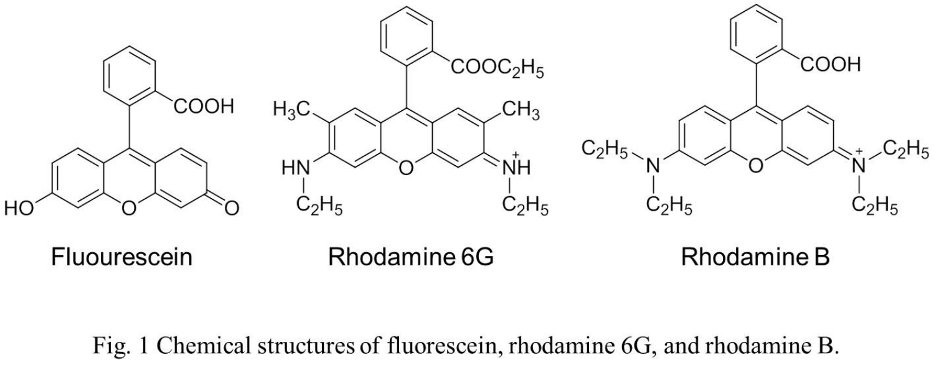

Fig. 1 Chemical structures of fluorescein, rhodamine 6G, and rhodamine B.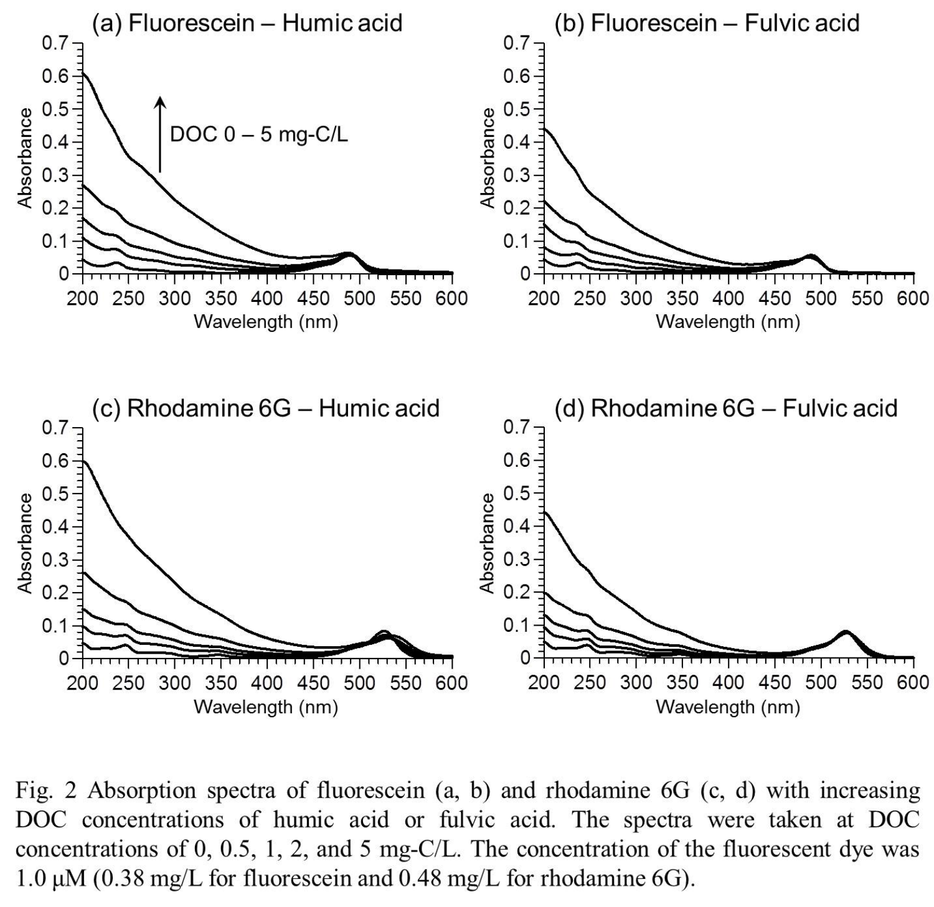

Fig. 2 Absorption spectra of fluorescein  $(a, b)$  and rhodamine 6G  $(c, d)$  with increasing DOC concentrations of humic acid or fulvic acid. The spectra were taken at DOC concentrations of 0, 0.5, 1, 2, and 5 mg-C/L. The concentration of the fluorescent dye was 1.0  $\mu$ M (0.38 mg/L for fluorescein and 0.48 mg/L for rhodamine 6G).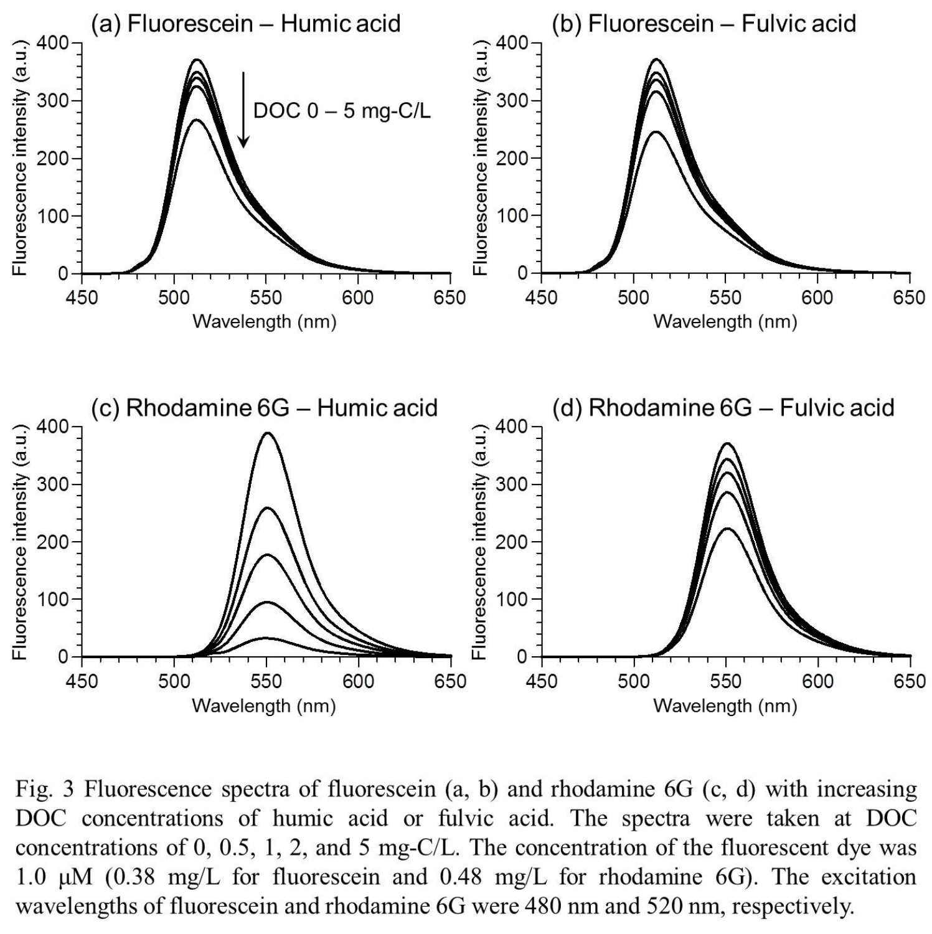

Fig. 3 Fluorescence spectra of fluorescein  $(a, b)$  and rhodamine 6G  $(c, d)$  with increasing DOC concentrations of humic acid or fulvic acid. The spectra were taken at DOC concentrations of 0, 0.5, 1, 2, and 5 mg-C/L. The concentration of the fluorescent dye was 1.0  $\mu$ M (0.38 mg/L for fluorescein and 0.48 mg/L for rhodamine 6G). The excitation wavelengths of fluorescein and rhodamine 6G were 480 nm and 520 nm, respectively.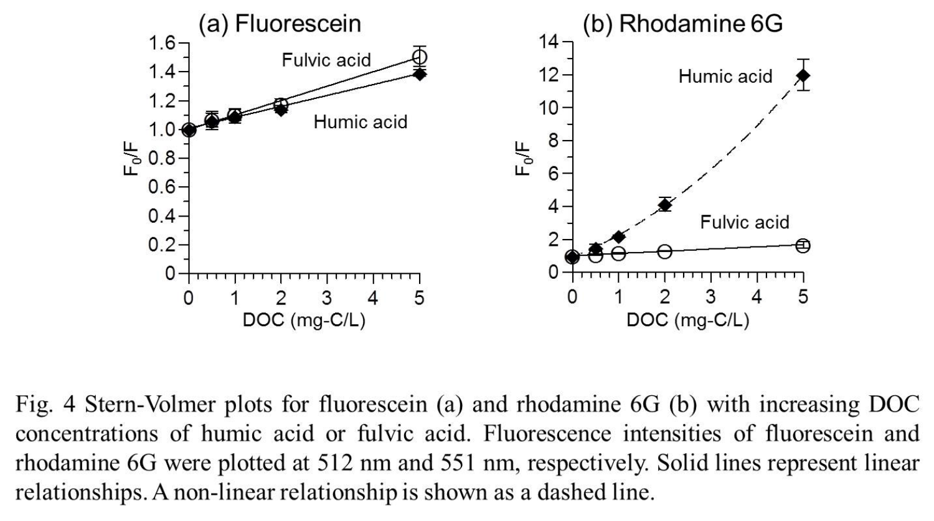

Fig. 4 Stern-Volmer plots for fluorescein (a) and rhodamine 6G (b) with increasing DOC concentrations of humic acid or fulvic acid. Fluorescence intensities of fluorescein and rhodamine 6G were plotted at 512 nm and 551 nm, respectively. Solid lines represent linear relationships. A non-linear relationship is shown as a dashed line.